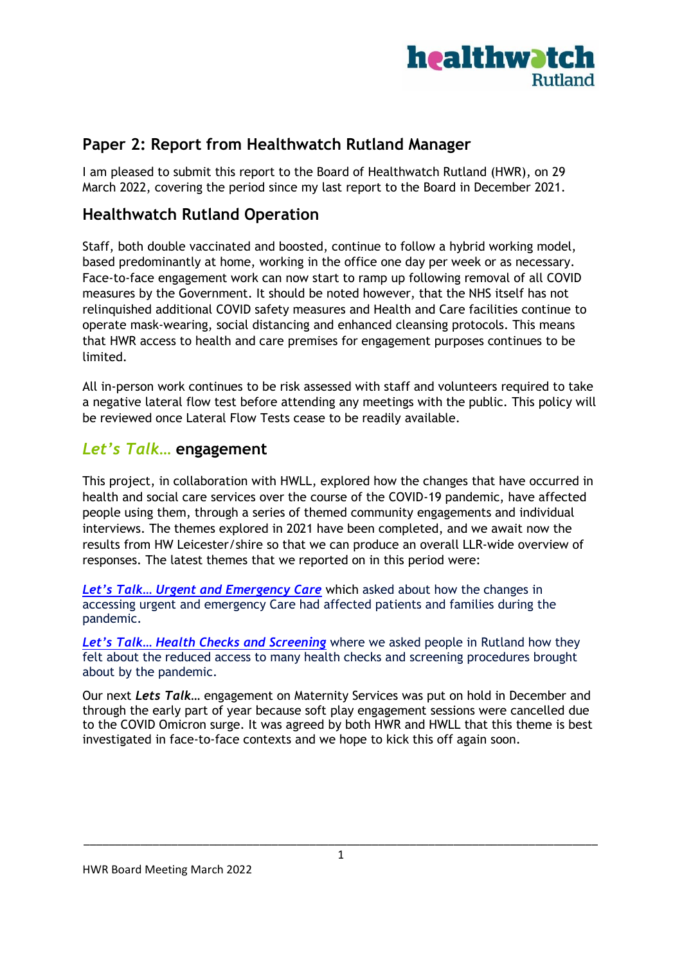

# **Paper 2: Report from Healthwatch Rutland Manager**

I am pleased to submit this report to the Board of Healthwatch Rutland (HWR), on 29 March 2022, covering the period since my last report to the Board in December 2021.

# **Healthwatch Rutland Operation**

Staff, both double vaccinated and boosted, continue to follow a hybrid working model, based predominantly at home, working in the office one day per week or as necessary. Face-to-face engagement work can now start to ramp up following removal of all COVID measures by the Government. It should be noted however, that the NHS itself has not relinquished additional COVID safety measures and Health and Care facilities continue to operate mask-wearing, social distancing and enhanced cleansing protocols. This means that HWR access to health and care premises for engagement purposes continues to be limited.

All in-person work continues to be risk assessed with staff and volunteers required to take a negative lateral flow test before attending any meetings with the public. This policy will be reviewed once Lateral Flow Tests cease to be readily available.

### *Let's Talk…* **engagement**

This project, in collaboration with HWLL, explored how the changes that have occurred in health and social care services over the course of the COVID-19 pandemic, have affected people using them, through a series of themed community engagements and individual interviews. The themes explored in 2021 have been completed, and we await now the results from HW Leicester/shire so that we can produce an overall LLR-wide overview of responses. The latest themes that we reported on in this period were:

*Let's Talk… [Urgent and Emergency Care](https://www.healthwatchrutland.co.uk/report/2022-01-26/how-have-changes-urgent-and-emergency-care-affected-patients)* which asked about how the changes in accessing urgent and emergency Care had affected patients and families during the pandemic.

*Let's Talk… [Health Checks and Screening](https://www.healthwatchrutland.co.uk/report/2021-12-21/lets-talk-regular-health-checks-and-screening-engagement-summary)* where we asked people in Rutland how they felt about the reduced access to many health checks and screening procedures brought about by the pandemic.

Our next *Lets Talk*… engagement on Maternity Services was put on hold in December and through the early part of year because soft play engagement sessions were cancelled due to the COVID Omicron surge. It was agreed by both HWR and HWLL that this theme is best investigated in face-to-face contexts and we hope to kick this off again soon.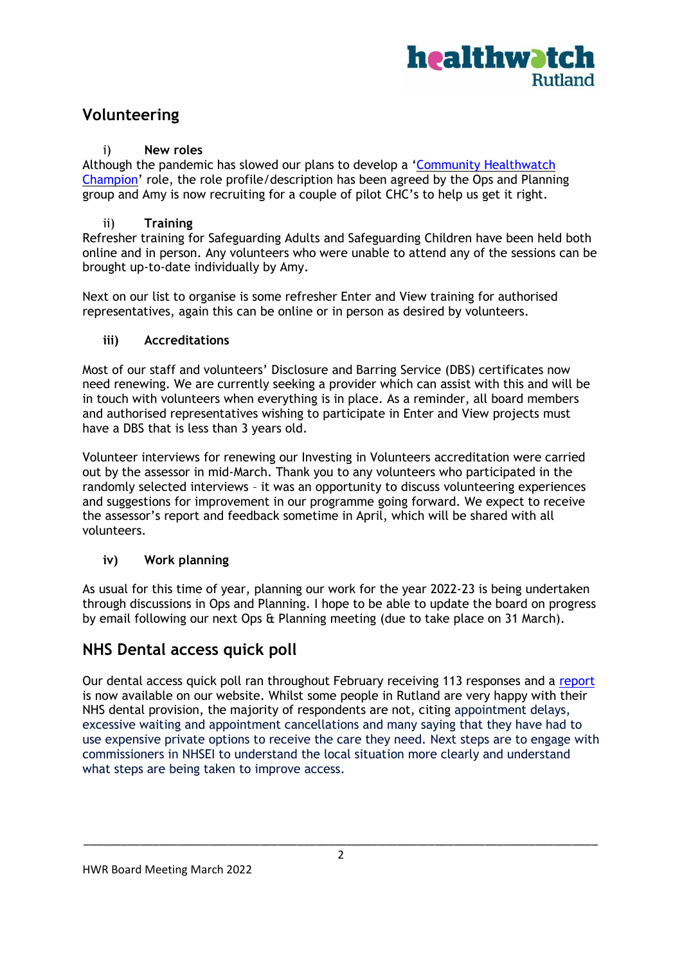

# **Volunteering**

#### i) **New roles**

Although the pandemic has slowed our plans to develop a 'Community [Healthwatch](https://www.healthwatchrutland.co.uk/report/2018-01-01/about-community-healthwatch-champion-role) [Champion](https://www.healthwatchrutland.co.uk/report/2018-01-01/about-community-healthwatch-champion-role)' role, the role profile/description has been agreed by the Ops and Planning group and Amy is now recruiting for a couple of pilot CHC's to help us get it right.

#### ii) **Training**

Refresher training for Safeguarding Adults and Safeguarding Children have been held both online and in person. Any volunteers who were unable to attend any of the sessions can be brought up-to-date individually by Amy.

Next on our list to organise is some refresher Enter and View training for authorised representatives, again this can be online or in person as desired by volunteers.

#### **iii) Accreditations**

Most of our staff and volunteers' Disclosure and Barring Service (DBS) certificates now need renewing. We are currently seeking a provider which can assist with this and will be in touch with volunteers when everything is in place. As a reminder, all board members and authorised representatives wishing to participate in Enter and View projects must have a DBS that is less than 3 years old.

Volunteer interviews for renewing our Investing in Volunteers accreditation were carried out by the assessor in mid-March. Thank you to any volunteers who participated in the randomly selected interviews – it was an opportunity to discuss volunteering experiences and suggestions for improvement in our programme going forward. We expect to receive the assessor's report and feedback sometime in April, which will be shared with all volunteers.

#### **iv) Work planning**

As usual for this time of year, planning our work for the year 2022-23 is being undertaken through discussions in Ops and Planning. I hope to be able to update the board on progress by email following our next Ops & Planning meeting (due to take place on 31 March).

### **NHS Dental access quick poll**

Our dental access quick poll ran throughout February receiving 113 responses and a [report](https://www.healthwatchrutland.co.uk/report/2022-03-18/your-views-nhs-dental-services) is now available on our website. Whilst some people in Rutland are very happy with their NHS dental provision, the majority of respondents are not, citing appointment delays, excessive waiting and appointment cancellations and many saying that they have had to use expensive private options to receive the care they need. Next steps are to engage with commissioners in NHSEI to understand the local situation more clearly and understand what steps are being taken to improve access.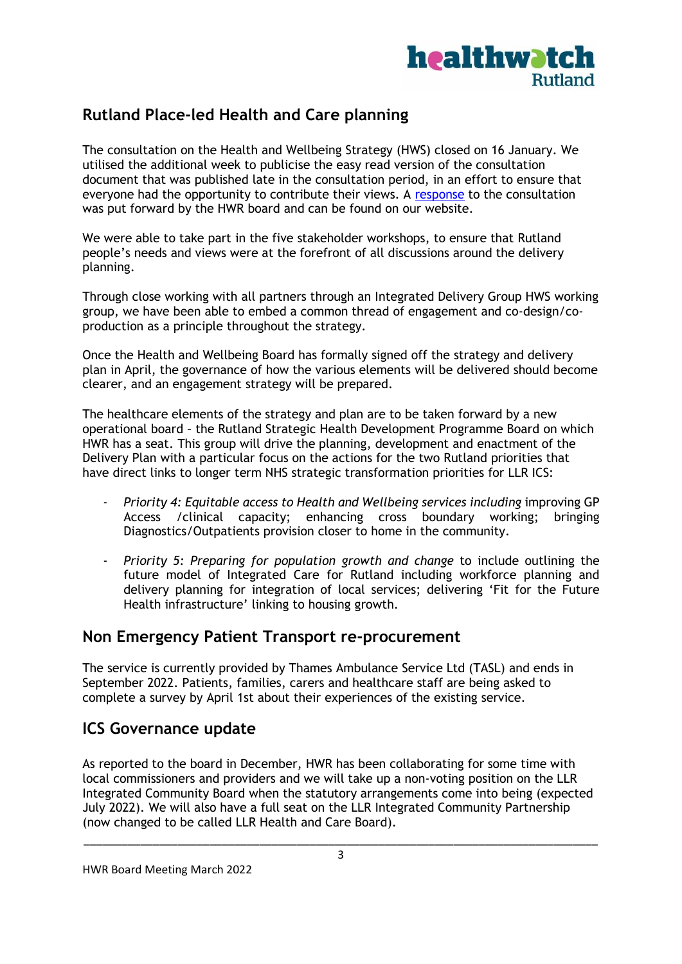

# **Rutland Place-led Health and Care planning**

The consultation on the Health and Wellbeing Strategy (HWS) closed on 16 January. We utilised the additional week to publicise the easy read version of the consultation document that was published late in the consultation period, in an effort to ensure that everyone had the opportunity to contribute their views. A [response](https://www.healthwatchrutland.co.uk/report/2022-01-18/healthwatch-rutland-responds-health-and-wellbeing-strategy-consultation) to the consultation was put forward by the HWR board and can be found on our website.

We were able to take part in the five stakeholder workshops, to ensure that Rutland people's needs and views were at the forefront of all discussions around the delivery planning.

Through close working with all partners through an Integrated Delivery Group HWS working group, we have been able to embed a common thread of engagement and co-design/coproduction as a principle throughout the strategy.

Once the Health and Wellbeing Board has formally signed off the strategy and delivery plan in April, the governance of how the various elements will be delivered should become clearer, and an engagement strategy will be prepared.

The healthcare elements of the strategy and plan are to be taken forward by a new operational board – the Rutland Strategic Health Development Programme Board on which HWR has a seat. This group will drive the planning, development and enactment of the Delivery Plan with a particular focus on the actions for the two Rutland priorities that have direct links to longer term NHS strategic transformation priorities for LLR ICS:

- *Priority 4: Equitable access to Health and Wellbeing services including* improving GP Access /clinical capacity; enhancing cross boundary working; bringing Diagnostics/Outpatients provision closer to home in the community.
- *Priority 5: Preparing for population growth and change* to include outlining the future model of Integrated Care for Rutland including workforce planning and delivery planning for integration of local services; delivering 'Fit for the Future Health infrastructure' linking to housing growth.

### **Non Emergency Patient Transport re-procurement**

The service is currently provided by Thames Ambulance Service Ltd (TASL) and ends in September 2022. Patients, families, carers and healthcare staff are being asked to complete a [survey](https://www.healthwatchrutland.co.uk/news/2022-03-14/help-design-non-emergency-patient-transport-services) by April 1st about their experiences of the existing service.

# **ICS Governance update**

As reported to the board in December, HWR has been collaborating for some time with local commissioners and providers and we will take up a non-voting position on the LLR Integrated Community Board when the statutory arrangements come into being (expected July 2022). We will also have a full seat on the LLR Integrated Community Partnership (now changed to be called LLR Health and Care Board).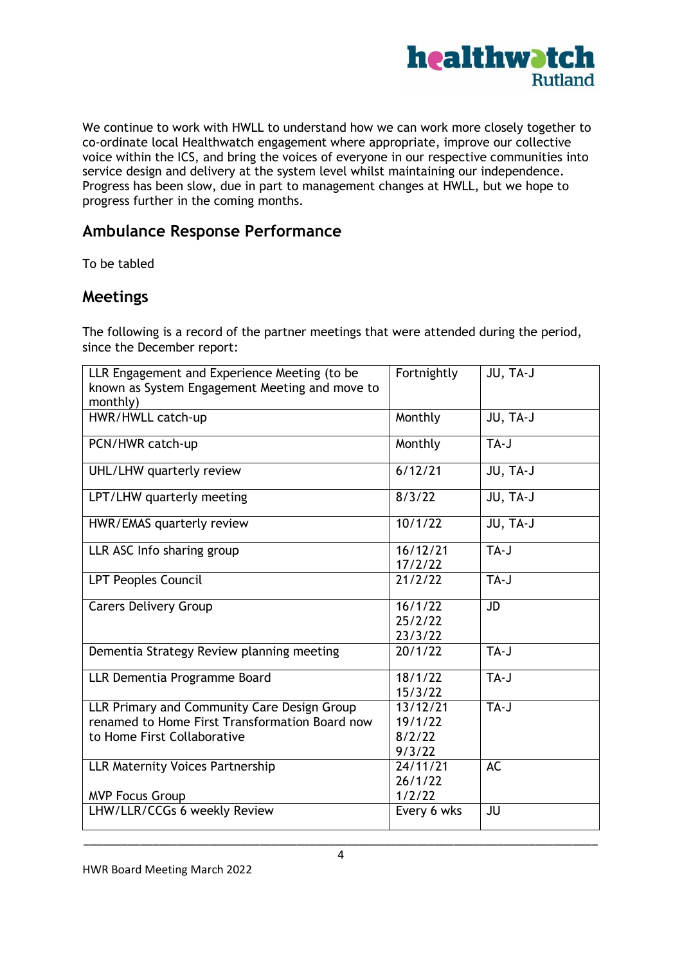

We continue to work with HWLL to understand how we can work more closely together to co-ordinate local Healthwatch engagement where appropriate, improve our collective voice within the ICS, and bring the voices of everyone in our respective communities into service design and delivery at the system level whilst maintaining our independence. Progress has been slow, due in part to management changes at HWLL, but we hope to progress further in the coming months.

# **Ambulance Response Performance**

To be tabled

### **Meetings**

The following is a record of the partner meetings that were attended during the period, since the December report:

| LLR Engagement and Experience Meeting (to be<br>known as System Engagement Meeting and move to<br>monthly)                   | Fortnightly                             | JU, TA-J  |
|------------------------------------------------------------------------------------------------------------------------------|-----------------------------------------|-----------|
| HWR/HWLL catch-up                                                                                                            | Monthly                                 | JU, TA-J  |
| PCN/HWR catch-up                                                                                                             | Monthly                                 | TA-J      |
| UHL/LHW quarterly review                                                                                                     | 6/12/21                                 | JU, TA-J  |
| LPT/LHW quarterly meeting                                                                                                    | 8/3/22                                  | JU, TA-J  |
| HWR/EMAS quarterly review                                                                                                    | 10/1/22                                 | JU, TA-J  |
| LLR ASC Info sharing group                                                                                                   | 16/12/21<br>17/2/22                     | TA-J      |
| <b>LPT Peoples Council</b>                                                                                                   | 21/2/22                                 | TA-J      |
| <b>Carers Delivery Group</b>                                                                                                 | 16/1/22<br>25/2/22<br>23/3/22           | <b>JD</b> |
| Dementia Strategy Review planning meeting                                                                                    | 20/1/22                                 | TA-J      |
| LLR Dementia Programme Board                                                                                                 | 18/1/22<br>15/3/22                      | TA-J      |
| LLR Primary and Community Care Design Group<br>renamed to Home First Transformation Board now<br>to Home First Collaborative | 13/12/21<br>19/1/22<br>8/2/22<br>9/3/22 | TA-J      |
| <b>LLR Maternity Voices Partnership</b><br><b>MVP Focus Group</b>                                                            | 24/11/21<br>26/1/22<br>1/2/22           | AC        |
| LHW/LLR/CCGs 6 weekly Review                                                                                                 | Every 6 wks                             | JU        |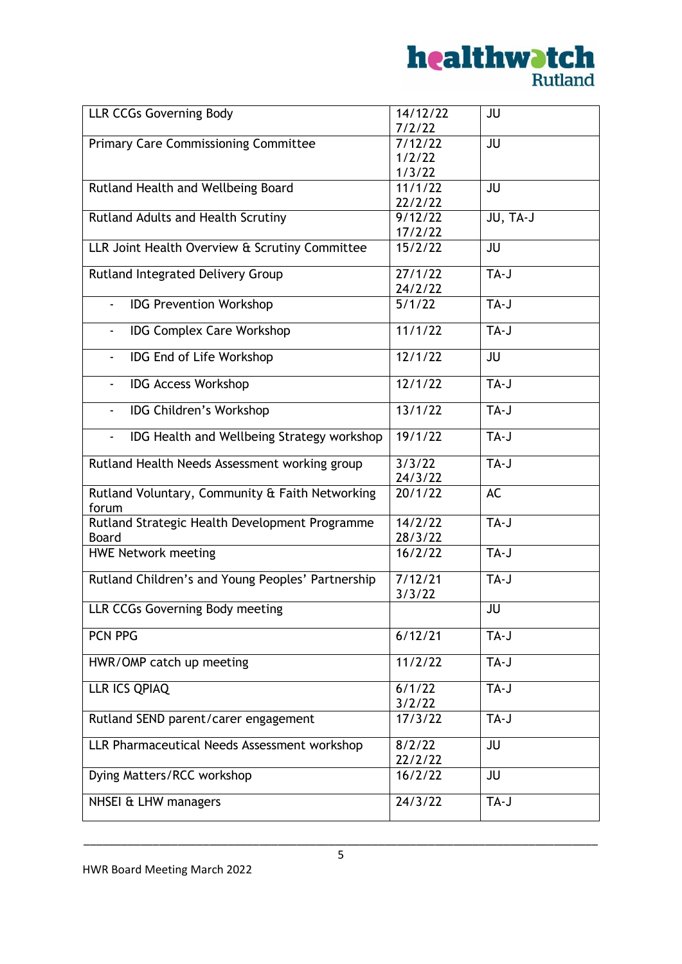

| <b>LLR CCGs Governing Body</b>                                 | 14/12/22<br>7/2/22           | JU        |
|----------------------------------------------------------------|------------------------------|-----------|
| <b>Primary Care Commissioning Committee</b>                    | 7/12/22<br>1/2/22            | JU        |
| Rutland Health and Wellbeing Board                             | 1/3/22<br>11/1/22<br>22/2/22 | <b>JU</b> |
| Rutland Adults and Health Scrutiny                             | 9/12/22<br>17/2/22           | JU, TA-J  |
| LLR Joint Health Overview & Scrutiny Committee                 | 15/2/22                      | JU        |
| Rutland Integrated Delivery Group                              | 27/1/22<br>24/2/22           | TA-J      |
| <b>IDG Prevention Workshop</b>                                 | 5/1/22                       | TA-J      |
| <b>IDG Complex Care Workshop</b>                               | $11/1/\overline{22}$         | TA-J      |
| IDG End of Life Workshop<br>$\overline{\phantom{0}}$           | 12/1/22                      | JU        |
| <b>IDG Access Workshop</b><br>$\blacksquare$                   | 12/1/22                      | TA-J      |
| <b>IDG Children's Workshop</b><br>$\blacksquare$               | 13/1/22                      | TA-J      |
| IDG Health and Wellbeing Strategy workshop<br>$\blacksquare$   | 19/1/22                      | TA-J      |
| Rutland Health Needs Assessment working group                  | 3/3/22<br>24/3/22            | TA-J      |
| Rutland Voluntary, Community & Faith Networking<br>forum       | 20/1/22                      | AC        |
| Rutland Strategic Health Development Programme<br><b>Board</b> | 14/2/22<br>28/3/22           | TA-J      |
| <b>HWE Network meeting</b>                                     | 16/2/22                      | TA-J      |
| Rutland Children's and Young Peoples' Partnership              | 7/12/21<br>3/3/22            | $TA-J$    |
| LLR CCGs Governing Body meeting                                |                              | JU        |
| PCN PPG                                                        | 6/12/21                      | TA-J      |
| HWR/OMP catch up meeting                                       | 11/2/22                      | TA-J      |
| LLR ICS QPIAQ                                                  | 6/1/22<br>3/2/22             | TA-J      |
| Rutland SEND parent/carer engagement                           | 17/3/22                      | TA-J      |
| LLR Pharmaceutical Needs Assessment workshop                   | 8/2/22<br>22/2/22            | <b>JU</b> |
| Dying Matters/RCC workshop                                     | 16/2/22                      | JU        |
| NHSEI & LHW managers                                           | 24/3/22                      | TA-J      |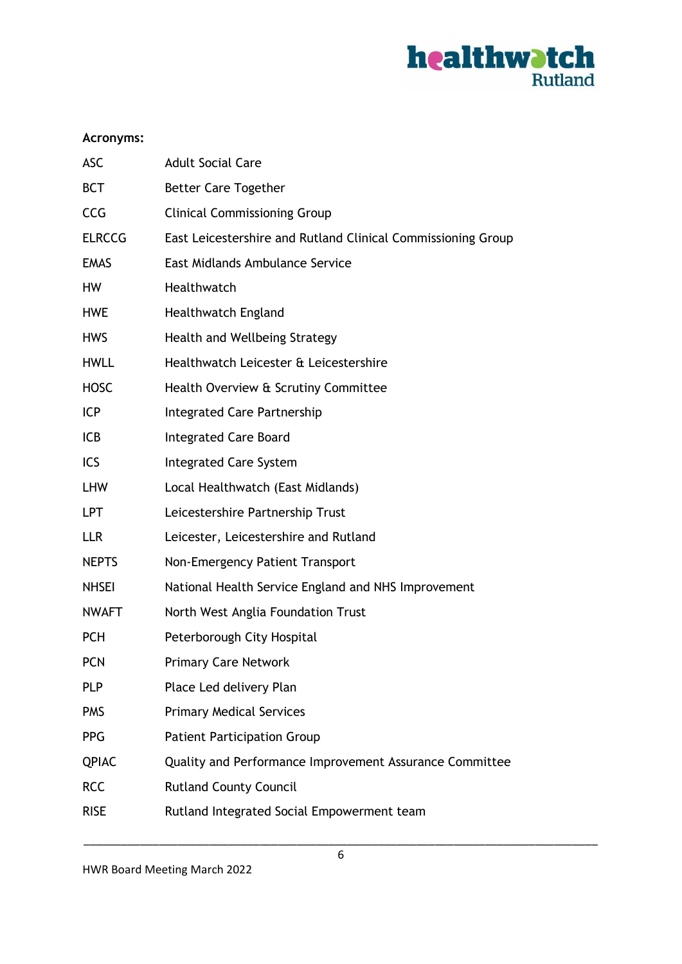

#### **Acronyms:**

| <b>ASC</b>    | <b>Adult Social Care</b>                                     |
|---------------|--------------------------------------------------------------|
| <b>BCT</b>    | <b>Better Care Together</b>                                  |
| <b>CCG</b>    | <b>Clinical Commissioning Group</b>                          |
| <b>ELRCCG</b> | East Leicestershire and Rutland Clinical Commissioning Group |
| <b>EMAS</b>   | East Midlands Ambulance Service                              |
| <b>HW</b>     | Healthwatch                                                  |
| <b>HWE</b>    | <b>Healthwatch England</b>                                   |
| <b>HWS</b>    | Health and Wellbeing Strategy                                |
| <b>HWLL</b>   | Healthwatch Leicester & Leicestershire                       |
| <b>HOSC</b>   | Health Overview & Scrutiny Committee                         |
| <b>ICP</b>    | <b>Integrated Care Partnership</b>                           |
| <b>ICB</b>    | <b>Integrated Care Board</b>                                 |
| ICS           | <b>Integrated Care System</b>                                |
| <b>LHW</b>    | Local Healthwatch (East Midlands)                            |
| <b>LPT</b>    | Leicestershire Partnership Trust                             |
| <b>LLR</b>    | Leicester, Leicestershire and Rutland                        |
| <b>NEPTS</b>  | Non-Emergency Patient Transport                              |
| <b>NHSEI</b>  | National Health Service England and NHS Improvement          |
| <b>NWAFT</b>  | North West Anglia Foundation Trust                           |
| <b>PCH</b>    | Peterborough City Hospital                                   |
| <b>PCN</b>    | <b>Primary Care Network</b>                                  |
| <b>PLP</b>    | Place Led delivery Plan                                      |
| <b>PMS</b>    | <b>Primary Medical Services</b>                              |
| <b>PPG</b>    | <b>Patient Participation Group</b>                           |
| <b>QPIAC</b>  | Quality and Performance Improvement Assurance Committee      |
| <b>RCC</b>    | <b>Rutland County Council</b>                                |
| <b>RISE</b>   | Rutland Integrated Social Empowerment team                   |